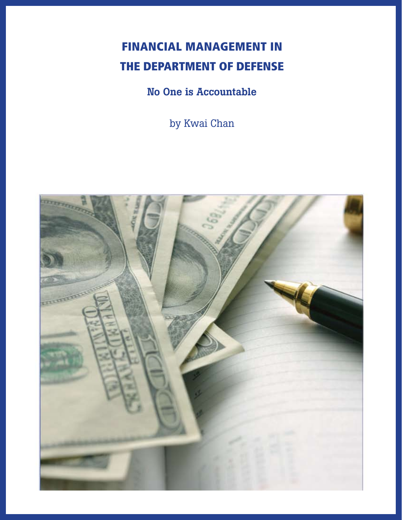# Financial Management in the Department of Defense

## No One is Accountable

by Kwai Chan

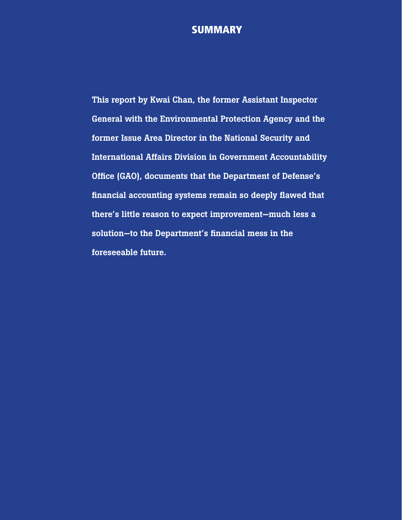## **SUMMARY**

This report by Kwai Chan, the former Assistant Inspector General with the Environmental Protection Agency and the former Issue Area Director in the National Security and International Affairs Division in Government Accountability Office (GAO), documents that the Department of Defense's financial accounting systems remain so deeply flawed that there's little reason to expect improvement—much less a solution—to the Department's financial mess in the foreseeable future.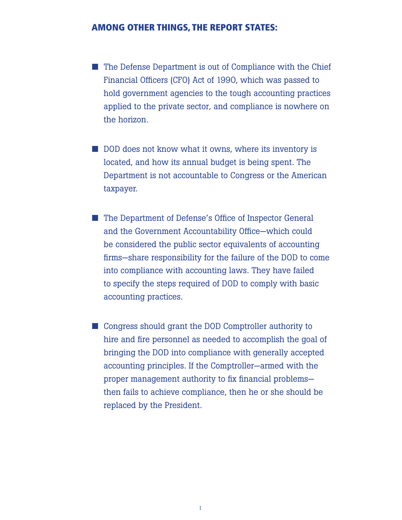#### Among other things, the report states:

- $\blacksquare$  The Defense Department is out of Compliance with the Chief Financial Officers (CFO) Act of 1990, which was passed to hold government agencies to the tough accounting practices applied to the private sector, and compliance is nowhere on the horizon.
- $\blacksquare$  DOD does not know what it owns, where its inventory is located, and how its annual budget is being spent. The Department is not accountable to Congress or the American taxpayer.
- The Department of Defense's Office of Inspector General and the Government Accountability Office—which could be considered the public sector equivalents of accounting firms—share responsibility for the failure of the DOD to come into compliance with accounting laws. They have failed to specify the steps required of DOD to comply with basic accounting practices.
- Congress should grant the DOD Comptroller authority to hire and fire personnel as needed to accomplish the goal of bringing the DOD into compliance with generally accepted accounting principles. If the Comptroller—armed with the proper management authority to fix financial problems then fails to achieve compliance, then he or she should be replaced by the President.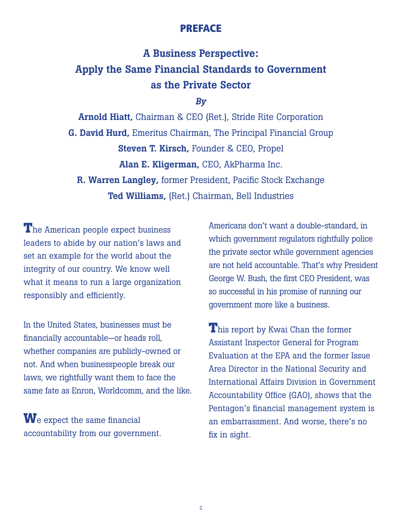## PREFACE

## A Business Perspective: Apply the Same Financial Standards to Government as the Private Sector

### *By*

Arnold Hiatt, Chairman & CEO (Ret.), Stride Rite Corporation G. David Hurd, Emeritus Chairman, The Principal Financial Group Steven T. Kirsch, Founder & CEO, Propel Alan E. Kligerman, CEO, AkPharma Inc. R. Warren Langley, former President, Pacific Stock Exchange Ted Williams, (Ret.) Chairman, Bell Industries

**T**he American people expect business leaders to abide by our nation's laws and set an example for the world about the integrity of our country. We know well what it means to run a large organization responsibly and efficiently.

In the United States, businesses must be financially accountable—or heads roll, whether companies are publicly-owned or not. And when businesspeople break our laws, we rightfully want them to face the same fate as Enron, Worldcomm, and the like.

**W**e expect the same financial accountability from our government.

Americans don't want a double-standard, in which government regulators rightfully police the private sector while government agencies are not held accountable. That's why President George W. Bush, the first CEO President, was so successful in his promise of running our government more like a business.

**T**his report by Kwai Chan the former Assistant Inspector General for Program Evaluation at the EPA and the former Issue Area Director in the National Security and International Affairs Division in Government Accountability Office (GAO), shows that the Pentagon's financial management system is an embarrassment. And worse, there's no fix in sight.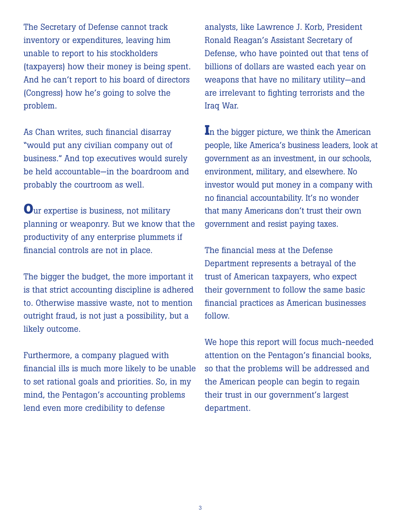The Secretary of Defense cannot track inventory or expenditures, leaving him unable to report to his stockholders (taxpayers) how their money is being spent. And he can't report to his board of directors (Congress) how he's going to solve the problem.

As Chan writes, such financial disarray "would put any civilian company out of business." And top executives would surely be held accountable—in the boardroom and probably the courtroom as well.

**O**ur expertise is business, not military planning or weaponry. But we know that the productivity of any enterprise plummets if financial controls are not in place.

The bigger the budget, the more important it is that strict accounting discipline is adhered to. Otherwise massive waste, not to mention outright fraud, is not just a possibility, but a likely outcome.

Furthermore, a company plagued with financial ills is much more likely to be unable to set rational goals and priorities. So, in my mind, the Pentagon's accounting problems lend even more credibility to defense

analysts, like Lawrence J. Korb, President Ronald Reagan's Assistant Secretary of Defense, who have pointed out that tens of billions of dollars are wasted each year on weapons that have no military utility—and are irrelevant to fighting terrorists and the Iraq War.

In the bigger picture, we think the American people, like America's business leaders, look at government as an investment, in our schools, environment, military, and elsewhere. No investor would put money in a company with no financial accountability. It's no wonder that many Americans don't trust their own government and resist paying taxes.

The financial mess at the Defense Department represents a betrayal of the trust of American taxpayers, who expect their government to follow the same basic financial practices as American businesses follow.

We hope this report will focus much-needed attention on the Pentagon's financial books, so that the problems will be addressed and the American people can begin to regain their trust in our government's largest department.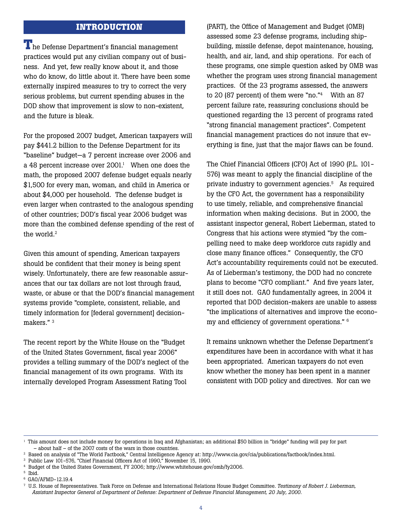#### **INTRODUCTION**

**T**he Defense Department's financial management practices would put any civilian company out of business. And yet, few really know about it, and those who do know, do little about it. There have been some externally inspired measures to try to correct the very serious problems, but current spending abuses in the DOD show that improvement is slow to non-existent, and the future is bleak.

For the proposed 2007 budget, American taxpayers will pay \$441.2 billion to the Defense Department for its "baseline" budget—a 7 percent increase over 2006 and a 48 percent increase over  $2001<sup>1</sup>$  When one does the math, the proposed 2007 defense budget equals nearly \$1,500 for every man, woman, and child in America or about \$4,000 per household. The defense budget is even larger when contrasted to the analogous spending of other countries; DOD's fiscal year 2006 budget was more than the combined defense spending of the rest of the world.<sup>2</sup>

Given this amount of spending, American taxpayers should be confident that their money is being spent wisely. Unfortunately, there are few reasonable assurances that our tax dollars are not lost through fraud, waste, or abuse or that the DOD's financial management systems provide "complete, consistent, reliable, and timely information for [federal government] decisionmakers."<sup>3</sup>

The recent report by the White House on the "Budget of the United States Government, fiscal year 2006" provides a telling summary of the DOD's neglect of the financial management of its own programs. With its internally developed Program Assessment Rating Tool

(PART), the Office of Management and Budget (OMB) assessed some 23 defense programs, including shipbuilding, missile defense, depot maintenance, housing, health, and air, land, and ship operations. For each of these programs, one simple question asked by OMB was whether the program uses strong financial management practices. Of the 23 programs assessed, the answers to 20 (87 percent) of them were "no."<sup>4</sup> With an 87 percent failure rate, reassuring conclusions should be questioned regarding the 13 percent of programs rated "strong financial management practices". Competent financial management practices do not insure that everything is fine, just that the major flaws can be found.

The Chief Financial Officers (CFO) Act of 1990 (P.L. 101- 576) was meant to apply the financial discipline of the private industry to government agencies.<sup>5</sup> As required by the CFO Act, the government has a responsibility to use timely, reliable, and comprehensive financial information when making decisions. But in 2000, the assistant inspector general, Robert Lieberman, stated to Congress that his actions were stymied "by the compelling need to make deep workforce cuts rapidly and close many finance offices." Consequently, the CFO Act's accountability requirements could not be executed. As of Lieberman's testimony, the DOD had no concrete plans to become "CFO compliant." And five years later, it still does not. GAO fundamentally agrees, in 2004 it reported that DOD decision-makers are unable to assess "the implications of alternatives and improve the economy and efficiency of government operations." 6

It remains unknown whether the Defense Department's expenditures have been in accordance with what it has been appropriated. American taxpayers do not even know whether the money has been spent in a manner consistent with DOD policy and directives. Nor can we

5 Ibid.

<sup>&</sup>lt;sup>1</sup> This amount does not include money for operations in Iraq and Afghanistan; an additional \$50 billion in "bridge" funding will pay for part – about half – of the 2007 costs of the wars in those countries.

<sup>2</sup> Based on analysis of "The World Factbook," Central Intelligence Agency at: http://www.cia.gov/cia/publications/factbook/index.html.

<sup>3</sup> Public Law 101-576, "Chief Financial Officers Act of 1990," November 15, 1990.

<sup>4</sup> Budget of the United States Government, FY 2006; http://www.whitehouse.gov/omb/fy2006.

<sup>6</sup> GAO/AFMD-12.19.4

<sup>7</sup> U.S. House of Representatives. Task Force on Defense and International Relations House Budget Committee. *Testimony of Robert J. Lieberman, Assistant Inspector General of Department of Defense: Department of Defense Financial Management, 20 July, 2000.*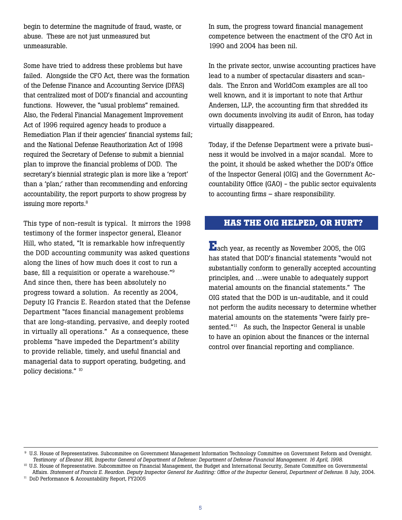begin to determine the magnitude of fraud, waste, or abuse. These are not just unmeasured but unmeasurable.

Some have tried to address these problems but have failed. Alongside the CFO Act, there was the formation of the Defense Finance and Accounting Service (DFAS) that centralized most of DOD's financial and accounting functions. However, the "usual problems" remained. Also, the Federal Financial Management Improvement Act of 1996 required agency heads to produce a Remediation Plan if their agencies' financial systems fail; and the National Defense Reauthorization Act of 1998 required the Secretary of Defense to submit a biennial plan to improve the financial problems of DOD. The secretary's biennial strategic plan is more like a 'report' than a 'plan;' rather than recommending and enforcing accountability, the report purports to show progress by issuing more reports.<sup>8</sup>

This type of non-result is typical. It mirrors the 1998 testimony of the former inspector general, Eleanor Hill, who stated, "It is remarkable how infrequently the DOD accounting community was asked questions along the lines of how much does it cost to run a base, fill a requisition or operate a warehouse."9 And since then, there has been absolutely no progress toward a solution. As recently as 2004, Deputy IG Francis E. Reardon stated that the Defense Department "faces financial management problems that are long-standing, pervasive, and deeply rooted in virtually all operations." As a consequence, these problems "have impeded the Department's ability to provide reliable, timely, and useful financial and managerial data to support operating, budgeting, and policy decisions." 10

In sum, the progress toward financial management competence between the enactment of the CFO Act in 1990 and 2004 has been nil.

In the private sector, unwise accounting practices have lead to a number of spectacular disasters and scandals. The Enron and WorldCom examples are all too well known, and it is important to note that Arthur Andersen, LLP, the accounting firm that shredded its own documents involving its audit of Enron, has today virtually disappeared.

Today, if the Defense Department were a private business it would be involved in a major scandal. More to the point, it should be asked whether the DOD's Office of the Inspector General (OIG) and the Government Accountability Office (GAO) - the public sector equivalents to accounting firms – share responsibility.

### **HAS THE OIG HELPED, OR HURT?**

**E**ach year, as recently as November 2005, the OIG has stated that DOD's financial statements "would not substantially conform to generally accepted accounting principles, and …were unable to adequately support material amounts on the financial statements." The OIG stated that the DOD is un-auditable, and it could not perform the audits necessary to determine whether material amounts on the statements "were fairly presented."<sup>11</sup> As such, the Inspector General is unable to have an opinion about the finances or the internal control over financial reporting and compliance.

 <sup>9</sup> U.S. House of Representatives. Subcommitee on Government Management Information Technology Committee on Government Reform and Oversight.  *Testimony of Eleanor Hill, Inspector General of Department of Defense: Department of Defense Financial Management. 16 April, 1998.*

<sup>&</sup>lt;sup>10</sup> U.S. House of Representative. Subcommittee on Financial Management, the Budget and International Security, Senate Committee on Governmental Affairs. *Statement of Francis E. Reardon. Deputy Inspector General for Auditing: Office of the Inspector General, Department of Defense.* 8 July, 2004.

<sup>&</sup>lt;sup>11</sup> DoD Performance & Accountability Report, FY2005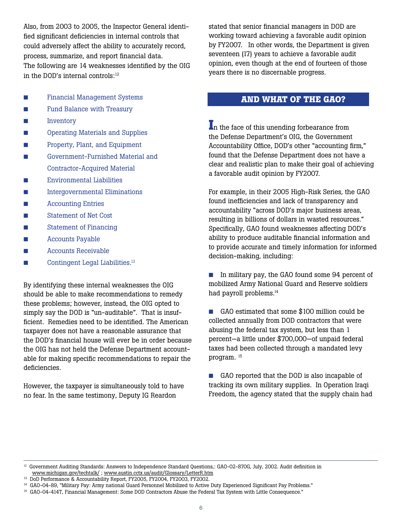Also, from 2003 to 2005, the Inspector General identified significant deficiencies in internal controls that could adversely affect the ability to accurately record, process, summarize, and report financial data. The following are 14 weaknesses identified by the OIG in the DOD's internal controls:<sup>12</sup>

- **n** Financial Management Systems
- **n Fund Balance with Treasury**
- **n** Inventory
- **n Operating Materials and Supplies**
- **n** Property, Plant, and Equipment
- **n Government-Furnished Material and** Contractor-Acquired Material
- **n** Environmental Liabilities
- **n Intergovernmental Eliminations**
- **n** Accounting Entries
- **n** Statement of Net Cost
- **n** Statement of Financing
- **n** Accounts Payable
- $\blacksquare$  Accounts Receivable
- $\Box$  Contingent Legal Liabilities.<sup>13</sup>

By identifying these internal weaknesses the OIG should be able to make recommendations to remedy these problems; however, instead, the OIG opted to simply say the DOD is "un-auditable". That is insufficient. Remedies need to be identified. The American taxpayer does not have a reasonable assurance that the DOD's financial house will ever be in order because the OIG has not held the Defense Department accountable for making specific recommendations to repair the deficiencies.

However, the taxpayer is simultaneously told to have no fear. In the same testimony, Deputy IG Reardon

stated that senior financial managers in DOD are working toward achieving a favorable audit opinion by FY2007. In other words, the Department is given seventeen (17) years to achieve a favorable audit opinion, even though at the end of fourteen of those years there is no discernable progress.

## **AND WHAT OF THE GAO?**

**I**n the face of this unending forbearance from the Defense Department's OIG, the Government Accountability Office, DOD's other "accounting firm," found that the Defense Department does not have a clear and realistic plan to make their goal of achieving a favorable audit opinion by FY2007.

For example, in their 2005 High-Risk Series, the GAO found inefficiencies and lack of transparency and accountability "across DOD's major business areas, resulting in billions of dollars in wasted resources." Specifically, GAO found weaknesses affecting DOD's ability to produce auditable financial information and to provide accurate and timely information for informed decision-making, including:

■ In military pay, the GAO found some 94 percent of mobilized Army National Guard and Reserve soldiers had payroll problems.<sup>14</sup>

■ GAO estimated that some \$100 million could be collected annually from DOD contractors that were abusing the federal tax system, but less than 1 percent—a little under \$700,000—of unpaid federal taxes had been collected through a mandated levy program. 15

■ GAO reported that the DOD is also incapable of tracking its own military supplies. In Operation Iraqi Freedom, the agency stated that the supply chain had

<sup>&</sup>lt;sup>12</sup> Government Auditing Standards: Answers to Independence Standard Questions,: GAO-02-870G, July, 2002. Audit definition in www.michigan.gov/techtalk/ ; www.austin.cctx.us/audit/Glossary/LetterR.htm

<sup>&</sup>lt;sup>13</sup> DoD Performance & Accountability Report, FY2005, FY2004, FY2003, FY2002.

<sup>&</sup>lt;sup>14</sup> GAO-04-89, "Military Pay: Army national Guard Personnel Mobilized to Active Duty Experienced Significant Pay Problems."

<sup>15</sup> GAO-04-414T, Financial Management: Some DOD Contractors Abuse the Federal Tax System with Little Consequence."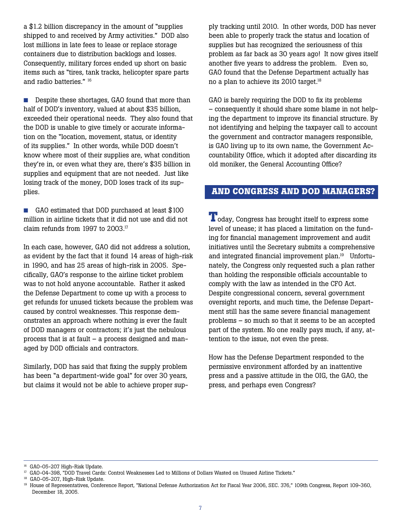a \$1.2 billion discrepancy in the amount of "supplies shipped to and received by Army activities." DOD also lost millions in late fees to lease or replace storage containers due to distribution backlogs and losses. Consequently, military forces ended up short on basic items such as "tires, tank tracks, helicopter spare parts and radio batteries." 16

■ Despite these shortages, GAO found that more than half of DOD's inventory, valued at about \$35 billion, exceeded their operational needs. They also found that the DOD is unable to give timely or accurate information on the "location, movement, status, or identity of its supplies." In other words, while DOD doesn't know where most of their supplies are, what condition they're in, or even what they are, there's \$35 billion in supplies and equipment that are not needed. Just like losing track of the money, DOD loses track of its supplies.

■ GAO estimated that DOD purchased at least \$100 million in airline tickets that it did not use and did not claim refunds from 1997 to 2003.17

In each case, however, GAO did not address a solution, as evident by the fact that it found 14 areas of high-risk in 1990, and has 25 areas of high-risk in 2005. Specifically, GAO's response to the airline ticket problem was to not hold anyone accountable. Rather it asked the Defense Department to come up with a process to get refunds for unused tickets because the problem was caused by control weaknesses. This response demonstrates an approach where nothing is ever the fault of DOD managers or contractors; it's just the nebulous process that is at fault – a process designed and managed by DOD officials and contractors.

Similarly, DOD has said that fixing the supply problem has been "a department-wide goal" for over 30 years, but claims it would not be able to achieve proper supply tracking until 2010. In other words, DOD has never been able to properly track the status and location of supplies but has recognized the seriousness of this problem as far back as 30 years ago! It now gives itself another five years to address the problem. Even so, GAO found that the Defense Department actually has no a plan to achieve its 2010 target.<sup>18</sup>

GAO is barely requiring the DOD to fix its problems – consequently it should share some blame in not helping the department to improve its financial structure. By not identifying and helping the taxpayer call to account the government and contractor managers responsible, is GAO living up to its own name, the Government Accountability Office, which it adopted after discarding its old moniker, the General Accounting Office?

#### **AND CONGRESS AND DOD MANAGERS?**

**T**oday, Congress has brought itself to express some level of unease; it has placed a limitation on the funding for financial management improvement and audit initiatives until the Secretary submits a comprehensive and integrated financial improvement plan.<sup>19</sup> Unfortunately, the Congress only requested such a plan rather than holding the responsible officials accountable to comply with the law as intended in the CFO Act. Despite congressional concern, several government oversight reports, and much time, the Defense Department still has the same severe financial management problems – so much so that it seems to be an accepted part of the system. No one really pays much, if any, attention to the issue, not even the press.

How has the Defense Department responded to the permissive environment afforded by an inattentive press and a passive attitude in the OIG, the GAO, the press, and perhaps even Congress?

<sup>16</sup> GAO-05-207 High-Risk Update.

<sup>&</sup>lt;sup>17</sup> GAO-04-398, "DOD Travel Cards: Control Weaknesses Led to Millions of Dollars Wasted on Unused Airline Tickets."

<sup>&</sup>lt;sup>18</sup> GAO-05-207, High-Risk Update.

<sup>&</sup>lt;sup>19</sup> House of Representatives, Conference Report, "National Defense Authorization Act for Fiscal Year 2006, SEC. 376," 109th Congress, Report 109-360, December 18, 2005.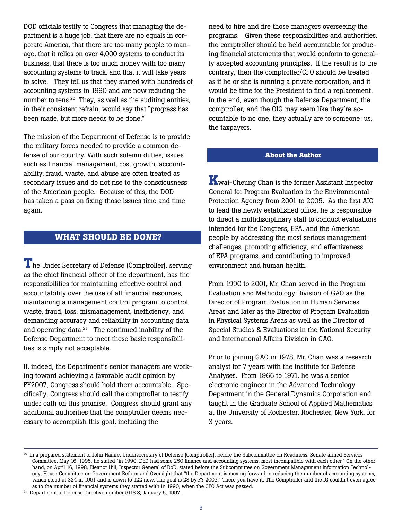DOD officials testify to Congress that managing the department is a huge job, that there are no equals in corporate America, that there are too many people to manage, that it relies on over 4,000 systems to conduct its business, that there is too much money with too many accounting systems to track, and that it will take years to solve. They tell us that they started with hundreds of accounting systems in 1990 and are now reducing the number to tens.<sup>20</sup> They, as well as the auditing entities, in their consistent refrain, would say that "progress has been made, but more needs to be done."

The mission of the Department of Defense is to provide the military forces needed to provide a common defense of our country. With such solemn duties, issues such as financial management, cost growth, accountability, fraud, waste, and abuse are often treated as secondary issues and do not rise to the consciousness of the American people. Because of this, the DOD has taken a pass on fixing those issues time and time again.

## **WHAT SHOULD BE DONE?**

**T**he Under Secretary of Defense (Comptroller), serving as the chief financial officer of the department, has the responsibilities for maintaining effective control and accountability over the use of all financial resources, maintaining a management control program to control waste, fraud, loss, mismanagement, inefficiency, and demanding accuracy and reliability in accounting data and operating data. $21$  The continued inability of the Defense Department to meet these basic responsibilities is simply not acceptable.

If, indeed, the Department's senior managers are working toward achieving a favorable audit opinion by FY2007, Congress should hold them accountable. Specifically, Congress should call the comptroller to testify under oath on this promise. Congress should grant any additional authorities that the comptroller deems necessary to accomplish this goal, including the

need to hire and fire those managers overseeing the programs. Given these responsibilities and authorities, the comptroller should be held accountable for producing financial statements that would conform to generally accepted accounting principles. If the result is to the contrary, then the comptroller/CFO should be treated as if he or she is running a private corporation, and it would be time for the President to find a replacement. In the end, even though the Defense Department, the comptroller, and the OIG may seem like they're accountable to no one, they actually are to someone: us, the taxpayers.

#### **About the Author**

**K**wai-Cheung Chan is the former Assistant Inspector General for Program Evaluation in the Environmental Protection Agency from 2001 to 2005. As the first AIG to lead the newly established office, he is responsible to direct a multidisciplinary staff to conduct evaluations intended for the Congress, EPA, and the American people by addressing the most serious management challenges, promoting efficiency, and effectiveness of EPA programs, and contributing to improved environment and human health.

From 1990 to 2001, Mr. Chan served in the Program Evaluation and Methodology Division of GAO as the Director of Program Evaluation in Human Services Areas and later as the Director of Program Evaluation in Physical Systems Areas as well as the Director of Special Studies & Evaluations in the National Security and International Affairs Division in GAO.

Prior to joining GAO in 1978, Mr. Chan was a research analyst for 7 years with the Institute for Defense Analyses. From 1966 to 1971, he was a senior electronic engineer in the Advanced Technology Department in the General Dynamics Corporation and taught in the Graduate School of Applied Mathematics at the University of Rochester, Rochester, New York, for 3 years.

<sup>20</sup> In a prepared statement of John Hamre, Undersecretary of Defense (Comptroller), before the Subcommittee on Readiness, Senate armed Services Committee, May 16, 1995, he stated "in 1990, DoD had some 250 finance and accounting systems, most incompatible with each other." On the other hand, on April 16, 1998, Eleanor Hill, Inspector General of DoD, stated before the Subcommittee on Government Management Information Technology, House Committee on Government Reform and Oversight that "the Department is moving forward in reducing the number of accounting systems, which stood at 324 in 1991 and is down to 122 now. The goal is 23 by FY 2003." There you have it. The Comptroller and the IG couldn't even agree as to the number of financial systems they started with in 1990, when the CFO Act was passed.

<sup>&</sup>lt;sup>21</sup> Department of Defense Directive number 5118.3, January 6, 1997.